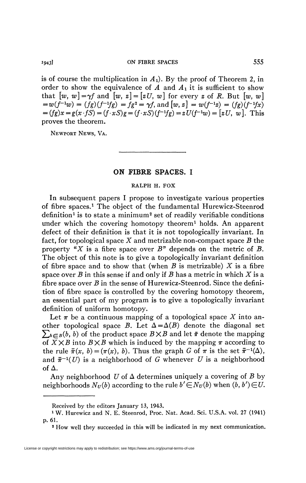**1943] ON FIBRE SPACES** 555

is of course the multiplication in  $A_1$ ). By the proof of Theorem 2, in order to show the equivalence of  $A$  and  $A_1$  it is sufficient to show that  $[w, w] = \gamma f$  and  $[w, z] = [zU, w]$  for every z of R. But  $[w, w]$  $= w(f^{-1}w) = (fg)(f^{-1}fg) = fg^2 = \gamma f$ , and  $[w, z] = w(f^{-1}z) = (fg)(f^{-1}fx)$  $= (fg)x = g(x \cdot fS) = (f \cdot xS)g = (f \cdot xS)(f^{-1}fg) = zU(f^{-1}w) = [zU, w]$ . This proves the theorem.

NEWPORT NEWS, VA.

## **ON FIBRE SPACES. I**

## **RALPH H. FOX**

In subsequent papers I propose to investigate various properties of fibre spaces.<sup>1</sup> The object of the fundamental Hurewicz-Steenrod definition<sup>1</sup> is to state a minimum<sup>2</sup> set of readily verifiable conditions under which the covering homotopy theorem<sup>1</sup> holds. An apparent defect of their definition is that it is not topologically invariant. In fact, for topological space *X* and metrizable non-compact space *B* the property *"X* is a fibre space over *B"* depends on the metric of *B.*  The object of this note is to give a topologically invariant definition of fibre space and to show that (when *B* is metrizable) *X* is a fibre space over *B* in this sense if and only if *B* has a metric in which *X* is a fibre space over *B* in the sense of Hurewicz-Steenrod. Since the definition of fibre space is controlled by the covering homotopy theorem, an essential part of my program is to give a topologically invariant definition of uniform homotopy.

Let  $\pi$  be a continuous mapping of a topological space X into another topological space B. Let  $\Delta = \Delta(B)$  denote the diagonal set  $\sum_{b \in B}(b, b)$  of the product space  $B \times B$  and let  $\bar{\pi}$  denote the mapping of  $\overline{X} \times \overline{B}$  into  $\overline{B} \times \overline{B}$  which is induced by the mapping  $\pi$  according to the rule  $\bar{\pi}(x, b) = (\pi(x), b)$ . Thus the graph *G* of  $\pi$  is the set  $\bar{\pi}^{-1}(\Delta)$ , and  $\bar{\pi}^{-1}(U)$  is a neighborhood of G whenever U is a neighborhood of  $\Delta$ .

Any neighborhood U of  $\Delta$  determines uniquely a covering of B by neighborhoods  $N_U(b)$  according to the rule  $b' \in N_U(b)$  when  $(b, b') \in U$ .

Received by the editors January 13, 1943.

<sup>&</sup>lt;sup>1</sup> W. Hurewicz and N. E. Steenrod, Proc. Nat. Acad. Sci. U.S.A. vol. 27 (1941) p. 61.

<sup>2</sup> How well they succeeded in this will be indicated in my next communication.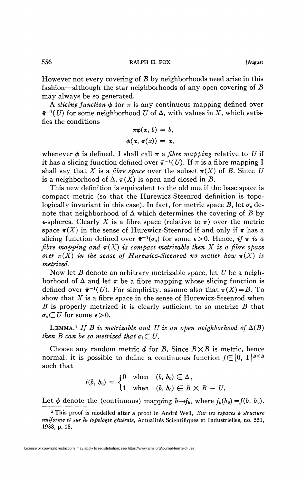However not every covering of *B* by neighborhoods need arise in this fashion—although the star neighborhoods of any open covering of *B*  may always be so generated.

A *slicing function*  $\phi$  for  $\pi$  is any continuous mapping defined over  $\bar{\pi}^{-1}(U)$  for some neighborhood U of  $\Delta$ , with values in X, which satisfies the conditions

$$
\pi\phi(x, b) = b,
$$
  

$$
\phi(x, \pi(x)) = x,
$$

whenever  $\phi$  is defined. I shall call  $\pi$  a *fibre mapping* relative to U if it has a slicing function defined over  $\bar{\pi}^{-1}(U)$ . If  $\pi$  is a fibre mapping I shall say that X is a *fibre space* over the subset  $\pi(X)$  of B. Since U is a neighborhood of  $\Delta$ ,  $\pi(X)$  is open and closed in B.

This new definition is equivalent to the old one if the base space is compact metric (so that the Hurewicz-Steenrod definition is topologically invariant in this case). In fact, for metric space *B*, let  $\sigma_{\epsilon}$  denote that neighborhood of  $\Delta$  which determines the covering of  $\beta$  by  $\epsilon$ -spheres. Clearly X is a fibre space (relative to  $\pi$ ) over the metric space  $\pi(X)$  in the sense of Hurewicz-Steenrod if and only if  $\pi$  has a slicing function defined over  $\bar{\pi}^{-1}(\sigma_{\epsilon})$  for some  $\epsilon > 0$ . Hence, if  $\pi$  is a *fibre mapping and*  $\pi(X)$  *is compact metrizable then* X *is a fibre space over*  $\pi(X)$  in the sense of Hurewicz-Steenrod no matter how  $\pi(X)$  is *metrized.* 

Now let *B* denote an arbitrary metrizable space, let *U* be a neighborhood of  $\Delta$  and let  $\pi$  be a fibre mapping whose slicing function is defined over  $\bar{\pi}^{-1}(U)$ . For simplicity, assume also that  $\pi(X) = B$ . To show that *X* is a fibre space in the sense of Hurewicz-Steenrod when *B* is properly metrized it is clearly sufficient to so metrize *B* that  $\sigma_{\epsilon} \subset U$  for some  $\epsilon > 0$ .

LEMMA.<sup>3</sup> If B is metrizable and U is an open neighborhood of  $\Delta(B)$ *then B can be so metrized that*  $\sigma_1 \subset U$ .

Choose any random metric *d* for *B.* Since *BXB* is metric, hence normal, it is possible to define a continuous function  $f \in [0, 1]^{B \times B}$ such that

$$
f(b, b_0) = \begin{cases} 0 & \text{when} \quad (b, b_0) \in \Delta, \\ 1 & \text{when} \quad (b, b_0) \in B \times B - U. \end{cases}
$$

Let  $\phi$  denote the (continuous) mapping  $b \rightarrow f_b$ , where  $f_b(b_0) = f(b, b_0)$ .

<sup>3</sup> This proof is modelled after a proof in André Weil, *Sur les espaces à structure uniforme et sur la topologie générale,* Actualités Scientifiques et Industrielles, no. 551, 1938, p. 15.